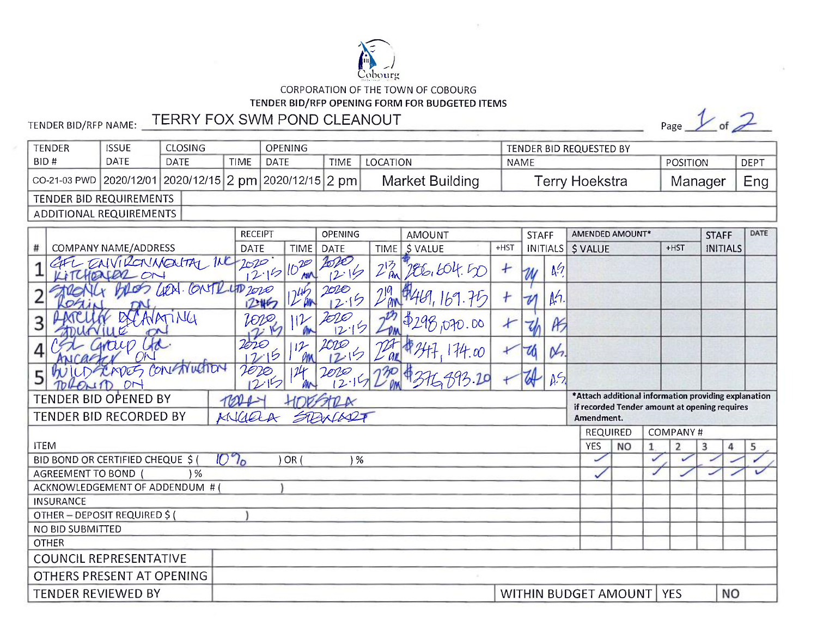

CORPORATION OF THE TOWN OF COBOURG

## TENDER BID/RFP OPENING FORM FOR BUDGETED ITEMS

## TENDER BID/RFP NAME: TERRY FOX SWM POND CLEANOUT

Page  $\frac{1}{1}$  of  $\frac{2}{1}$ 

| <b>TENDER</b>           | <b>ISSUE</b> | CLOSING.                                                                                                        |  | <b>OPENING</b> |      |                 | TENDER BID REQUESTED BY |          |             |  |  |  |  |  |
|-------------------------|--------------|-----------------------------------------------------------------------------------------------------------------|--|----------------|------|-----------------|-------------------------|----------|-------------|--|--|--|--|--|
| BID#                    | <b>DATE</b>  | <b>DATE</b><br>TIME                                                                                             |  | DATE           | TIME | LOCATION        | <b>NAME</b>             | POSITION | <b>DEPT</b> |  |  |  |  |  |
|                         |              | $\vert$ CO-21-03 PWD $\vert$ 2020/12/01 $\vert$ 2020/12/15 $\vert$ 2 pm $\vert$ 2020/12/15 $\vert$ 2 pm $\vert$ |  |                |      | Market Building | Геrry Hoekstra          | Manager  | $Eng \vert$ |  |  |  |  |  |
| TENDER BID REQUIREMENTS |              |                                                                                                                 |  |                |      |                 |                         |          |             |  |  |  |  |  |
| ADDITIONAL REQUIREMENTS |              |                                                                                                                 |  |                |      |                 |                         |          |             |  |  |  |  |  |

|                                                                                                            | <b>RECEIPT</b>         |             | <b>OPENING</b> |                 | <b>AMOUNT</b>  |        | <b>STAFF</b>               |                          | AMENDED AMOUNT*   |                                                      |  |                                    | <b>STAFF</b>    | DATE |  |  |  |
|------------------------------------------------------------------------------------------------------------|------------------------|-------------|----------------|-----------------|----------------|--------|----------------------------|--------------------------|-------------------|------------------------------------------------------|--|------------------------------------|-----------------|------|--|--|--|
| COMPANY NAME/ADDRESS<br>#                                                                                  | <b>DATE</b>            | <b>TIME</b> | DATE           | TIME            | <b>\$VALUE</b> | $+HST$ |                            |                          | INITIALS \$ VALUE |                                                      |  | $+HST$                             | <b>INITIALS</b> |      |  |  |  |
| EALVIRONMENTAL INC                                                                                         | 2020<br>$2.15/10^{20}$ |             | 2.19           | $2\frac{13}{8}$ | 1966, 604. In  | Ł      | W                          | $\Lambda$ <sup>(7)</sup> |                   |                                                      |  |                                    |                 |      |  |  |  |
| DA. CONTRUTO 2020                                                                                          | 2467                   |             | VOVO<br>12.15  |                 |                |        | $\boldsymbol{\mathcal{U}}$ | M                        |                   |                                                      |  |                                    |                 |      |  |  |  |
|                                                                                                            | [O[D]                  |             | 200<br> 2      |                 | 0.000          |        |                            | IF)                      |                   |                                                      |  |                                    |                 |      |  |  |  |
|                                                                                                            | 2020<br>ら              |             | 201 <i>0</i>   |                 | 74.00          |        | 70                         | os,                      |                   |                                                      |  |                                    |                 |      |  |  |  |
| contruction<br>mog<br>г.                                                                                   | $\ell$ ro              |             |                |                 |                |        | ₩                          | A <sup>5</sup>           |                   |                                                      |  |                                    |                 |      |  |  |  |
| TENDER BID OPENED BY                                                                                       |                        |             |                |                 |                |        |                            |                          |                   | *Attach additional information providing explanation |  |                                    |                 |      |  |  |  |
| if recorded Tender amount at opening requires<br>SPANCER<br>TENDER BID RECORDED BY<br>MICIEL<br>Amendment. |                        |             |                |                 |                |        |                            |                          |                   |                                                      |  |                                    |                 |      |  |  |  |
|                                                                                                            |                        |             |                |                 |                |        |                            |                          |                   |                                                      |  | <b>COMPANY#</b><br><b>REQUIRED</b> |                 |      |  |  |  |
| <b>ITEM</b>                                                                                                |                        |             |                |                 |                |        |                            |                          | <b>YES</b>        | <b>NO</b>                                            |  | $\overline{2}$                     | 3<br>4          | 5    |  |  |  |
| BID BOND OR CERTIFIED CHEQUE \$ (                                                                          | $10\%$                 | OR (        | ) %            |                 |                |        |                            |                          |                   |                                                      |  |                                    |                 |      |  |  |  |
| AGREEMENT TO BOND<br>$\frac{9}{6}$                                                                         |                        |             |                |                 |                |        |                            |                          |                   |                                                      |  |                                    |                 |      |  |  |  |
| ACKNOWLEDGEMENT OF ADDENDUM # (                                                                            |                        |             |                |                 |                |        |                            |                          |                   |                                                      |  |                                    |                 |      |  |  |  |
| <b>INSURANCE</b>                                                                                           |                        |             |                |                 |                |        |                            |                          |                   |                                                      |  |                                    |                 |      |  |  |  |
| OTHER-DEPOSIT REQUIRED \$                                                                                  |                        |             |                |                 |                |        |                            |                          |                   |                                                      |  |                                    |                 |      |  |  |  |
| NO BID SUBMITTED                                                                                           |                        |             |                |                 |                |        |                            |                          |                   |                                                      |  |                                    |                 |      |  |  |  |
| <b>OTHER</b>                                                                                               |                        |             |                |                 |                |        |                            |                          |                   |                                                      |  |                                    |                 |      |  |  |  |
| <b>COUNCIL REPRESENTATIVE</b>                                                                              |                        |             |                |                 |                |        |                            |                          |                   |                                                      |  |                                    |                 |      |  |  |  |
| OTHERS PRESENT AT OPENING                                                                                  |                        |             |                |                 |                |        |                            |                          |                   |                                                      |  |                                    |                 |      |  |  |  |
| TENDER REVIEWED BY                                                                                         | WITHIN BUDGET AMOUNT   |             |                |                 |                |        |                            |                          |                   | <b>YES</b>                                           |  | <b>NO</b>                          |                 |      |  |  |  |